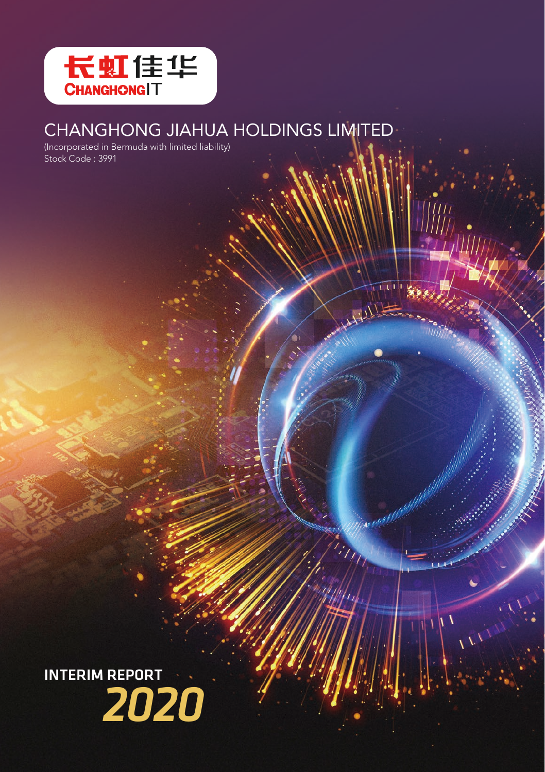

# CHANGHONG JIAHUA HOLDINGS LIMITED

 $\Delta$ 

(Incorporated in Bermuda with limited liability) Stock Code : 3991

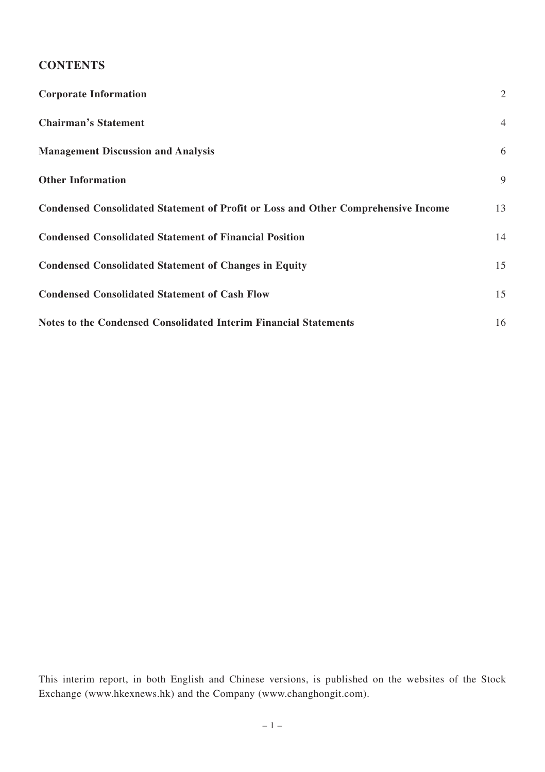# **CONTENTS**

| <b>Corporate Information</b>                                                             | $\overline{2}$ |
|------------------------------------------------------------------------------------------|----------------|
| <b>Chairman's Statement</b>                                                              | $\overline{4}$ |
| <b>Management Discussion and Analysis</b>                                                | 6              |
| <b>Other Information</b>                                                                 | 9              |
| <b>Condensed Consolidated Statement of Profit or Loss and Other Comprehensive Income</b> | 13             |
| <b>Condensed Consolidated Statement of Financial Position</b>                            | 14             |
| <b>Condensed Consolidated Statement of Changes in Equity</b>                             | 15             |
| <b>Condensed Consolidated Statement of Cash Flow</b>                                     | 15             |
| Notes to the Condensed Consolidated Interim Financial Statements                         | 16             |

This interim report, in both English and Chinese versions, is published on the websites of the Stock Exchange (www.hkexnews.hk) and the Company (www.changhongit.com).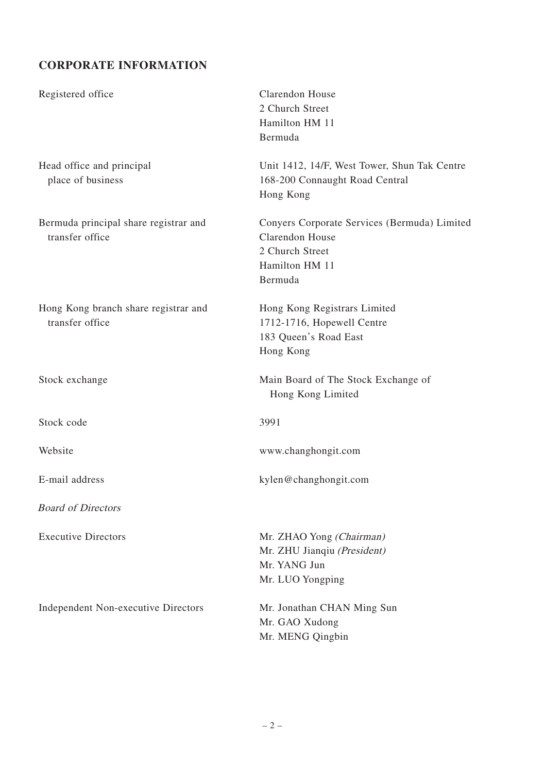# **CORPORATE INFORMATION**

| Registered office                                        | Clarendon House<br>2 Church Street<br>Hamilton HM 11<br>Bermuda                                                        |
|----------------------------------------------------------|------------------------------------------------------------------------------------------------------------------------|
| Head office and principal<br>place of business           | Unit 1412, 14/F, West Tower, Shun Tak Centre<br>168-200 Connaught Road Central<br>Hong Kong                            |
| Bermuda principal share registrar and<br>transfer office | Conyers Corporate Services (Bermuda) Limited<br>Clarendon House<br>2 Church Street<br>Hamilton HM 11<br><b>Bermuda</b> |
| Hong Kong branch share registrar and<br>transfer office  | Hong Kong Registrars Limited<br>1712-1716, Hopewell Centre<br>183 Queen's Road East<br>Hong Kong                       |
| Stock exchange                                           | Main Board of The Stock Exchange of<br>Hong Kong Limited                                                               |
| Stock code                                               | 3991                                                                                                                   |
| Website                                                  | www.changhongit.com                                                                                                    |
| E-mail address                                           | kylen@changhongit.com                                                                                                  |
| <b>Board of Directors</b>                                |                                                                                                                        |
| <b>Executive Directors</b>                               | Mr. ZHAO Yong (Chairman)<br>Mr. ZHU Jianqiu (President)<br>Mr. YANG Jun<br>Mr. LUO Yongping                            |
| Independent Non-executive Directors                      | Mr. Jonathan CHAN Ming Sun<br>Mr. GAO Xudong<br>Mr. MENG Qingbin                                                       |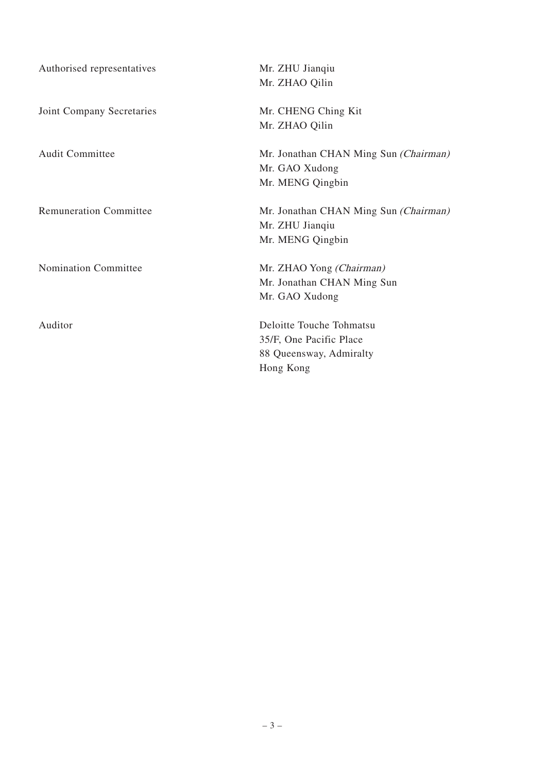| Authorised representatives    | Mr. ZHU Jiangiu                              |
|-------------------------------|----------------------------------------------|
|                               | Mr. ZHAO Qilin                               |
| Joint Company Secretaries     | Mr. CHENG Ching Kit                          |
|                               | Mr. ZHAO Qilin                               |
| Audit Committee               | Mr. Jonathan CHAN Ming Sun <i>(Chairman)</i> |
|                               | Mr. GAO Xudong                               |
|                               | Mr. MENG Qingbin                             |
| <b>Remuneration Committee</b> | Mr. Jonathan CHAN Ming Sun <i>(Chairman)</i> |
|                               | Mr. ZHU Jianqiu                              |
|                               | Mr. MENG Qingbin                             |
| Nomination Committee          | Mr. ZHAO Yong (Chairman)                     |
|                               | Mr. Jonathan CHAN Ming Sun                   |
|                               | Mr. GAO Xudong                               |
| Auditor                       | Deloitte Touche Tohmatsu                     |
|                               | 35/F, One Pacific Place                      |
|                               | 88 Queensway, Admiralty                      |
|                               | Hong Kong                                    |
|                               |                                              |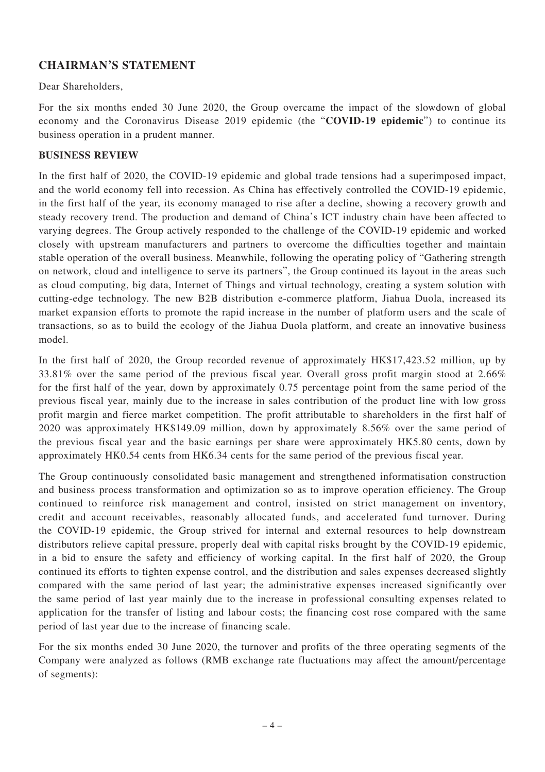# **CHAIRMAN'S STATEMENT**

Dear Shareholders,

For the six months ended 30 June 2020, the Group overcame the impact of the slowdown of global economy and the Coronavirus Disease 2019 epidemic (the "**COVID-19 epidemic**") to continue its business operation in a prudent manner.

#### **BUSINESS REVIEW**

In the first half of 2020, the COVID-19 epidemic and global trade tensions had a superimposed impact, and the world economy fell into recession. As China has effectively controlled the COVID-19 epidemic, in the first half of the year, its economy managed to rise after a decline, showing a recovery growth and steady recovery trend. The production and demand of China's ICT industry chain have been affected to varying degrees. The Group actively responded to the challenge of the COVID-19 epidemic and worked closely with upstream manufacturers and partners to overcome the difficulties together and maintain stable operation of the overall business. Meanwhile, following the operating policy of "Gathering strength on network, cloud and intelligence to serve its partners", the Group continued its layout in the areas such as cloud computing, big data, Internet of Things and virtual technology, creating a system solution with cutting-edge technology. The new B2B distribution e-commerce platform, Jiahua Duola, increased its market expansion efforts to promote the rapid increase in the number of platform users and the scale of transactions, so as to build the ecology of the Jiahua Duola platform, and create an innovative business model.

In the first half of 2020, the Group recorded revenue of approximately HK\$17,423.52 million, up by 33.81% over the same period of the previous fiscal year. Overall gross profit margin stood at 2.66% for the first half of the year, down by approximately 0.75 percentage point from the same period of the previous fiscal year, mainly due to the increase in sales contribution of the product line with low gross profit margin and fierce market competition. The profit attributable to shareholders in the first half of 2020 was approximately HK\$149.09 million, down by approximately 8.56% over the same period of the previous fiscal year and the basic earnings per share were approximately HK5.80 cents, down by approximately HK0.54 cents from HK6.34 cents for the same period of the previous fiscal year.

The Group continuously consolidated basic management and strengthened informatisation construction and business process transformation and optimization so as to improve operation efficiency. The Group continued to reinforce risk management and control, insisted on strict management on inventory, credit and account receivables, reasonably allocated funds, and accelerated fund turnover. During the COVID-19 epidemic, the Group strived for internal and external resources to help downstream distributors relieve capital pressure, properly deal with capital risks brought by the COVID-19 epidemic, in a bid to ensure the safety and efficiency of working capital. In the first half of 2020, the Group continued its efforts to tighten expense control, and the distribution and sales expenses decreased slightly compared with the same period of last year; the administrative expenses increased significantly over the same period of last year mainly due to the increase in professional consulting expenses related to application for the transfer of listing and labour costs; the financing cost rose compared with the same period of last year due to the increase of financing scale.

For the six months ended 30 June 2020, the turnover and profits of the three operating segments of the Company were analyzed as follows (RMB exchange rate fluctuations may affect the amount/percentage of segments):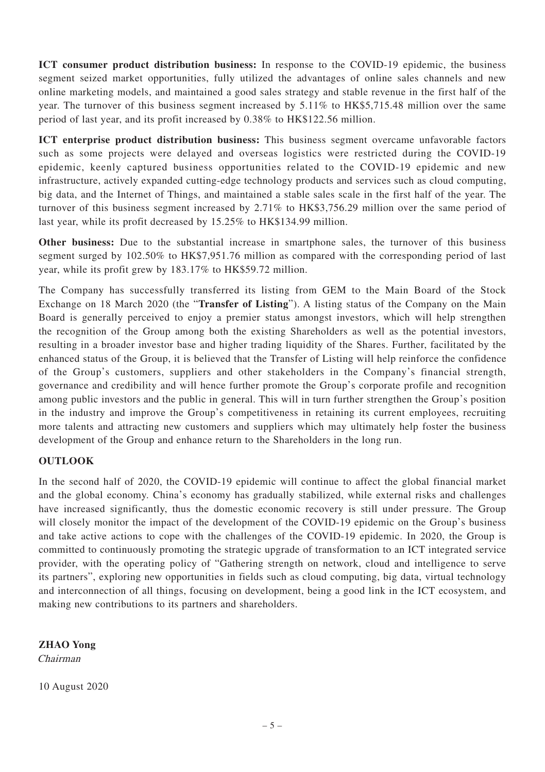**ICT consumer product distribution business:** In response to the COVID-19 epidemic, the business segment seized market opportunities, fully utilized the advantages of online sales channels and new online marketing models, and maintained a good sales strategy and stable revenue in the first half of the year. The turnover of this business segment increased by 5.11% to HK\$5,715.48 million over the same period of last year, and its profit increased by 0.38% to HK\$122.56 million.

**ICT enterprise product distribution business:** This business segment overcame unfavorable factors such as some projects were delayed and overseas logistics were restricted during the COVID-19 epidemic, keenly captured business opportunities related to the COVID-19 epidemic and new infrastructure, actively expanded cutting-edge technology products and services such as cloud computing, big data, and the Internet of Things, and maintained a stable sales scale in the first half of the year. The turnover of this business segment increased by 2.71% to HK\$3,756.29 million over the same period of last year, while its profit decreased by 15.25% to HK\$134.99 million.

**Other business:** Due to the substantial increase in smartphone sales, the turnover of this business segment surged by 102.50% to HK\$7,951.76 million as compared with the corresponding period of last year, while its profit grew by 183.17% to HK\$59.72 million.

The Company has successfully transferred its listing from GEM to the Main Board of the Stock Exchange on 18 March 2020 (the "**Transfer of Listing**"). A listing status of the Company on the Main Board is generally perceived to enjoy a premier status amongst investors, which will help strengthen the recognition of the Group among both the existing Shareholders as well as the potential investors, resulting in a broader investor base and higher trading liquidity of the Shares. Further, facilitated by the enhanced status of the Group, it is believed that the Transfer of Listing will help reinforce the confidence of the Group's customers, suppliers and other stakeholders in the Company's financial strength, governance and credibility and will hence further promote the Group's corporate profile and recognition among public investors and the public in general. This will in turn further strengthen the Group's position in the industry and improve the Group's competitiveness in retaining its current employees, recruiting more talents and attracting new customers and suppliers which may ultimately help foster the business development of the Group and enhance return to the Shareholders in the long run.

#### **OUTLOOK**

In the second half of 2020, the COVID-19 epidemic will continue to affect the global financial market and the global economy. China's economy has gradually stabilized, while external risks and challenges have increased significantly, thus the domestic economic recovery is still under pressure. The Group will closely monitor the impact of the development of the COVID-19 epidemic on the Group's business and take active actions to cope with the challenges of the COVID-19 epidemic. In 2020, the Group is committed to continuously promoting the strategic upgrade of transformation to an ICT integrated service provider, with the operating policy of "Gathering strength on network, cloud and intelligence to serve its partners", exploring new opportunities in fields such as cloud computing, big data, virtual technology and interconnection of all things, focusing on development, being a good link in the ICT ecosystem, and making new contributions to its partners and shareholders.

**ZHAO Yong**

Chairman

10 August 2020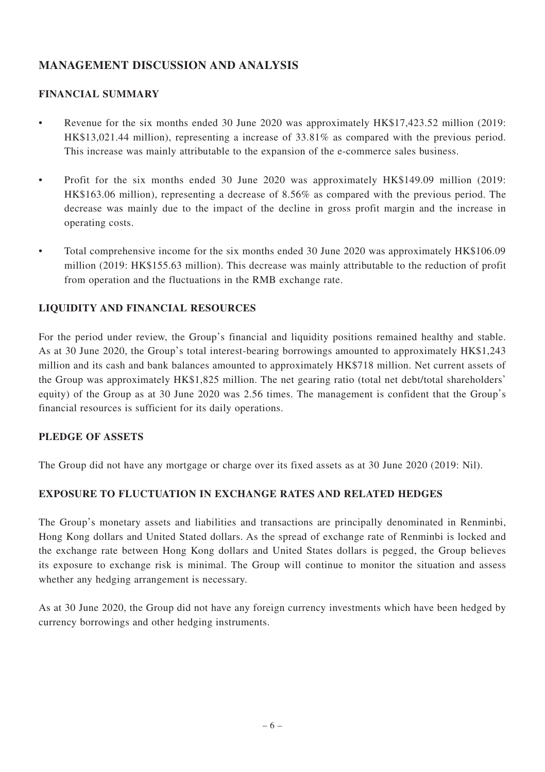# **MANAGEMENT DISCUSSION AND ANALYSIS**

# **FINANCIAL SUMMARY**

- Revenue for the six months ended 30 June 2020 was approximately HK\$17,423.52 million (2019: HK\$13,021.44 million), representing a increase of 33.81% as compared with the previous period. This increase was mainly attributable to the expansion of the e-commerce sales business.
- Profit for the six months ended 30 June 2020 was approximately HK\$149.09 million (2019: HK\$163.06 million), representing a decrease of 8.56% as compared with the previous period. The decrease was mainly due to the impact of the decline in gross profit margin and the increase in operating costs.
- Total comprehensive income for the six months ended 30 June 2020 was approximately HK\$106.09 million (2019: HK\$155.63 million). This decrease was mainly attributable to the reduction of profit from operation and the fluctuations in the RMB exchange rate.

# **LIQUIDITY AND FINANCIAL RESOURCES**

For the period under review, the Group's financial and liquidity positions remained healthy and stable. As at 30 June 2020, the Group's total interest-bearing borrowings amounted to approximately HK\$1,243 million and its cash and bank balances amounted to approximately HK\$718 million. Net current assets of the Group was approximately HK\$1,825 million. The net gearing ratio (total net debt/total shareholders' equity) of the Group as at 30 June 2020 was 2.56 times. The management is confident that the Group's financial resources is sufficient for its daily operations.

# **PLEDGE OF ASSETS**

The Group did not have any mortgage or charge over its fixed assets as at 30 June 2020 (2019: Nil).

# **EXPOSURE TO FLUCTUATION IN EXCHANGE RATES AND RELATED HEDGES**

The Group's monetary assets and liabilities and transactions are principally denominated in Renminbi, Hong Kong dollars and United Stated dollars. As the spread of exchange rate of Renminbi is locked and the exchange rate between Hong Kong dollars and United States dollars is pegged, the Group believes its exposure to exchange risk is minimal. The Group will continue to monitor the situation and assess whether any hedging arrangement is necessary.

As at 30 June 2020, the Group did not have any foreign currency investments which have been hedged by currency borrowings and other hedging instruments.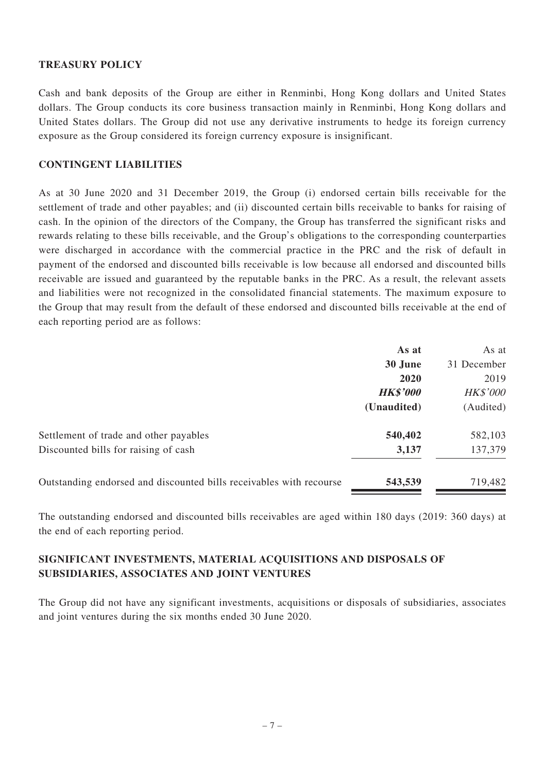#### **TREASURY POLICY**

Cash and bank deposits of the Group are either in Renminbi, Hong Kong dollars and United States dollars. The Group conducts its core business transaction mainly in Renminbi, Hong Kong dollars and United States dollars. The Group did not use any derivative instruments to hedge its foreign currency exposure as the Group considered its foreign currency exposure is insignificant.

#### **CONTINGENT LIABILITIES**

As at 30 June 2020 and 31 December 2019, the Group (i) endorsed certain bills receivable for the settlement of trade and other payables; and (ii) discounted certain bills receivable to banks for raising of cash. In the opinion of the directors of the Company, the Group has transferred the significant risks and rewards relating to these bills receivable, and the Group's obligations to the corresponding counterparties were discharged in accordance with the commercial practice in the PRC and the risk of default in payment of the endorsed and discounted bills receivable is low because all endorsed and discounted bills receivable are issued and guaranteed by the reputable banks in the PRC. As a result, the relevant assets and liabilities were not recognized in the consolidated financial statements. The maximum exposure to the Group that may result from the default of these endorsed and discounted bills receivable at the end of each reporting period are as follows:

|                                                                     | As at           | As at           |
|---------------------------------------------------------------------|-----------------|-----------------|
|                                                                     | 30 June         | 31 December     |
|                                                                     | 2020            | 2019            |
|                                                                     | <b>HK\$'000</b> | <b>HK\$'000</b> |
|                                                                     | (Unaudited)     | (Audited)       |
| Settlement of trade and other payables                              | 540,402         | 582,103         |
| Discounted bills for raising of cash                                | 3,137           | 137,379         |
| Outstanding endorsed and discounted bills receivables with recourse | 543,539         | 719,482         |

The outstanding endorsed and discounted bills receivables are aged within 180 days (2019: 360 days) at the end of each reporting period.

# **SIGNIFICANT INVESTMENTS, MATERIAL ACQUISITIONS AND DISPOSALS OF SUBSIDIARIES, ASSOCIATES AND JOINT VENTURES**

The Group did not have any significant investments, acquisitions or disposals of subsidiaries, associates and joint ventures during the six months ended 30 June 2020.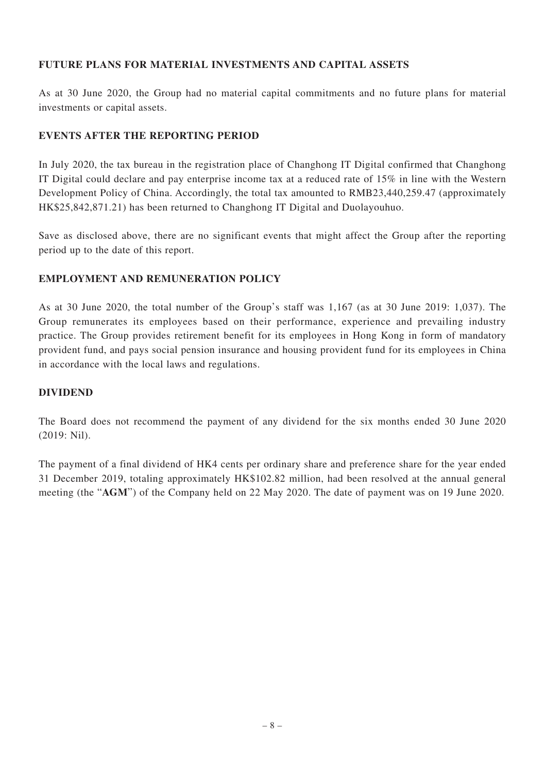# **FUTURE PLANS FOR MATERIAL INVESTMENTS AND CAPITAL ASSETS**

As at 30 June 2020, the Group had no material capital commitments and no future plans for material investments or capital assets.

#### **EVENTS AFTER THE REPORTING PERIOD**

In July 2020, the tax bureau in the registration place of Changhong IT Digital confirmed that Changhong IT Digital could declare and pay enterprise income tax at a reduced rate of 15% in line with the Western Development Policy of China. Accordingly, the total tax amounted to RMB23,440,259.47 (approximately HK\$25,842,871.21) has been returned to Changhong IT Digital and Duolayouhuo.

Save as disclosed above, there are no significant events that might affect the Group after the reporting period up to the date of this report.

#### **EMPLOYMENT AND REMUNERATION POLICY**

As at 30 June 2020, the total number of the Group's staff was 1,167 (as at 30 June 2019: 1,037). The Group remunerates its employees based on their performance, experience and prevailing industry practice. The Group provides retirement benefit for its employees in Hong Kong in form of mandatory provident fund, and pays social pension insurance and housing provident fund for its employees in China in accordance with the local laws and regulations.

#### **DIVIDEND**

The Board does not recommend the payment of any dividend for the six months ended 30 June 2020 (2019: Nil).

The payment of a final dividend of HK4 cents per ordinary share and preference share for the year ended 31 December 2019, totaling approximately HK\$102.82 million, had been resolved at the annual general meeting (the "**AGM**") of the Company held on 22 May 2020. The date of payment was on 19 June 2020.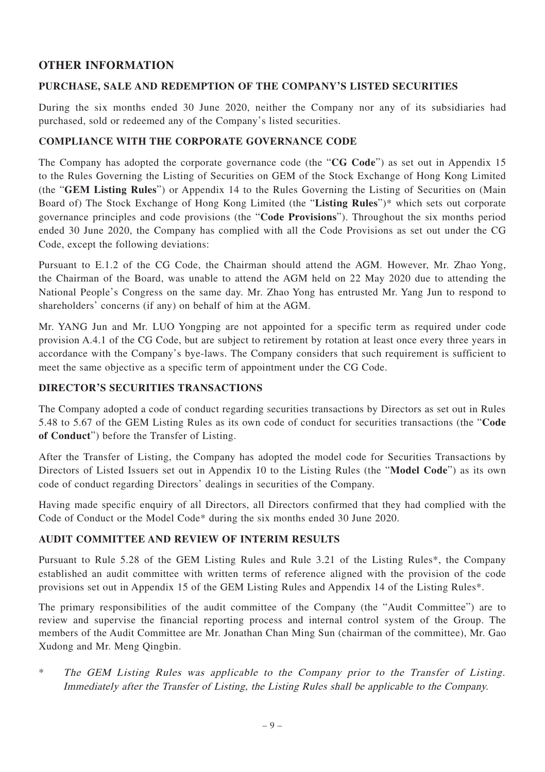# **OTHER INFORMATION**

#### **PURCHASE, SALE AND REDEMPTION OF THE COMPANY'S LISTED SECURITIES**

During the six months ended 30 June 2020, neither the Company nor any of its subsidiaries had purchased, sold or redeemed any of the Company's listed securities.

#### **COMPLIANCE WITH THE CORPORATE GOVERNANCE CODE**

The Company has adopted the corporate governance code (the "**CG Code**") as set out in Appendix 15 to the Rules Governing the Listing of Securities on GEM of the Stock Exchange of Hong Kong Limited (the "**GEM Listing Rules**") or Appendix 14 to the Rules Governing the Listing of Securities on (Main Board of) The Stock Exchange of Hong Kong Limited (the "**Listing Rules**")\* which sets out corporate governance principles and code provisions (the "**Code Provisions**"). Throughout the six months period ended 30 June 2020, the Company has complied with all the Code Provisions as set out under the CG Code, except the following deviations:

Pursuant to E.1.2 of the CG Code, the Chairman should attend the AGM. However, Mr. Zhao Yong, the Chairman of the Board, was unable to attend the AGM held on 22 May 2020 due to attending the National People's Congress on the same day. Mr. Zhao Yong has entrusted Mr. Yang Jun to respond to shareholders' concerns (if any) on behalf of him at the AGM.

Mr. YANG Jun and Mr. LUO Yongping are not appointed for a specific term as required under code provision A.4.1 of the CG Code, but are subject to retirement by rotation at least once every three years in accordance with the Company's bye-laws. The Company considers that such requirement is sufficient to meet the same objective as a specific term of appointment under the CG Code.

#### **DIRECTOR'S SECURITIES TRANSACTIONS**

The Company adopted a code of conduct regarding securities transactions by Directors as set out in Rules 5.48 to 5.67 of the GEM Listing Rules as its own code of conduct for securities transactions (the "**Code of Conduct**") before the Transfer of Listing.

After the Transfer of Listing, the Company has adopted the model code for Securities Transactions by Directors of Listed Issuers set out in Appendix 10 to the Listing Rules (the "**Model Code**") as its own code of conduct regarding Directors' dealings in securities of the Company.

Having made specific enquiry of all Directors, all Directors confirmed that they had complied with the Code of Conduct or the Model Code\* during the six months ended 30 June 2020.

# **AUDIT COMMITTEE AND REVIEW OF INTERIM RESULTS**

Pursuant to Rule 5.28 of the GEM Listing Rules and Rule 3.21 of the Listing Rules\*, the Company established an audit committee with written terms of reference aligned with the provision of the code provisions set out in Appendix 15 of the GEM Listing Rules and Appendix 14 of the Listing Rules\*.

The primary responsibilities of the audit committee of the Company (the "Audit Committee") are to review and supervise the financial reporting process and internal control system of the Group. The members of the Audit Committee are Mr. Jonathan Chan Ming Sun (chairman of the committee), Mr. Gao Xudong and Mr. Meng Qingbin.

\* The GEM Listing Rules was applicable to the Company prior to the Transfer of Listing. Immediately after the Transfer of Listing, the Listing Rules shall be applicable to the Company.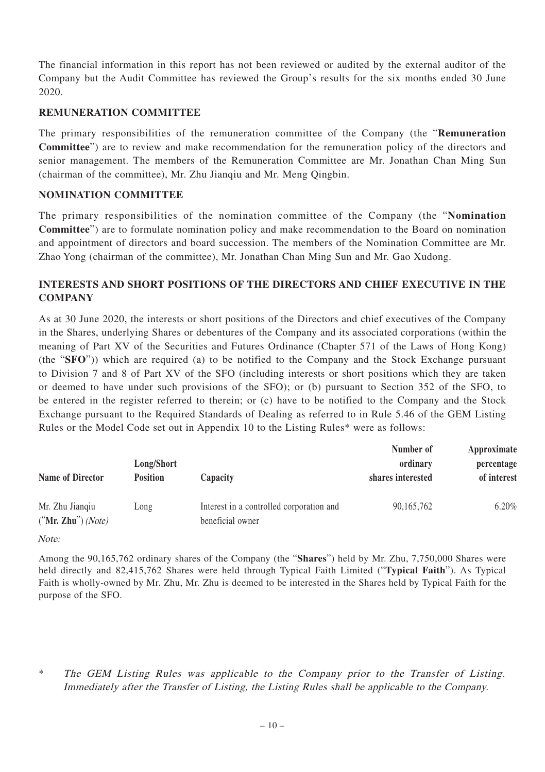The financial information in this report has not been reviewed or audited by the external auditor of the Company but the Audit Committee has reviewed the Group's results for the six months ended 30 June 2020.

#### **REMUNERATION COMMITTEE**

The primary responsibilities of the remuneration committee of the Company (the "**Remuneration Committee**") are to review and make recommendation for the remuneration policy of the directors and senior management. The members of the Remuneration Committee are Mr. Jonathan Chan Ming Sun (chairman of the committee), Mr. Zhu Jianqiu and Mr. Meng Qingbin.

#### **NOMINATION COMMITTEE**

The primary responsibilities of the nomination committee of the Company (the "**Nomination Committee**") are to formulate nomination policy and make recommendation to the Board on nomination and appointment of directors and board succession. The members of the Nomination Committee are Mr. Zhao Yong (chairman of the committee), Mr. Jonathan Chan Ming Sun and Mr. Gao Xudong.

# **INTERESTS AND SHORT POSITIONS OF THE DIRECTORS AND CHIEF EXECUTIVE IN THE COMPANY**

As at 30 June 2020, the interests or short positions of the Directors and chief executives of the Company in the Shares, underlying Shares or debentures of the Company and its associated corporations (within the meaning of Part XV of the Securities and Futures Ordinance (Chapter 571 of the Laws of Hong Kong) (the "**SFO**")) which are required (a) to be notified to the Company and the Stock Exchange pursuant to Division 7 and 8 of Part XV of the SFO (including interests or short positions which they are taken or deemed to have under such provisions of the SFO); or (b) pursuant to Section 352 of the SFO, to be entered in the register referred to therein; or (c) have to be notified to the Company and the Stock Exchange pursuant to the Required Standards of Dealing as referred to in Rule 5.46 of the GEM Listing Rules or the Model Code set out in Appendix 10 to the Listing Rules\* were as follows:

| <b>Name of Director</b>                 | Long/Short<br><b>Position</b> | Capacity                                                     | Number of<br>ordinary<br>shares interested | Approximate<br>percentage<br>of interest |
|-----------------------------------------|-------------------------------|--------------------------------------------------------------|--------------------------------------------|------------------------------------------|
| Mr. Zhu Jiangiu<br>$("Mr. Zhu")$ (Note) | Long                          | Interest in a controlled corporation and<br>beneficial owner | 90, 165, 762                               | 6.20%                                    |

Note:

Among the 90,165,762 ordinary shares of the Company (the "**Shares**") held by Mr. Zhu, 7,750,000 Shares were held directly and 82,415,762 Shares were held through Typical Faith Limited ("**Typical Faith**"). As Typical Faith is wholly-owned by Mr. Zhu, Mr. Zhu is deemed to be interested in the Shares held by Typical Faith for the purpose of the SFO.

The GEM Listing Rules was applicable to the Company prior to the Transfer of Listing. Immediately after the Transfer of Listing, the Listing Rules shall be applicable to the Company.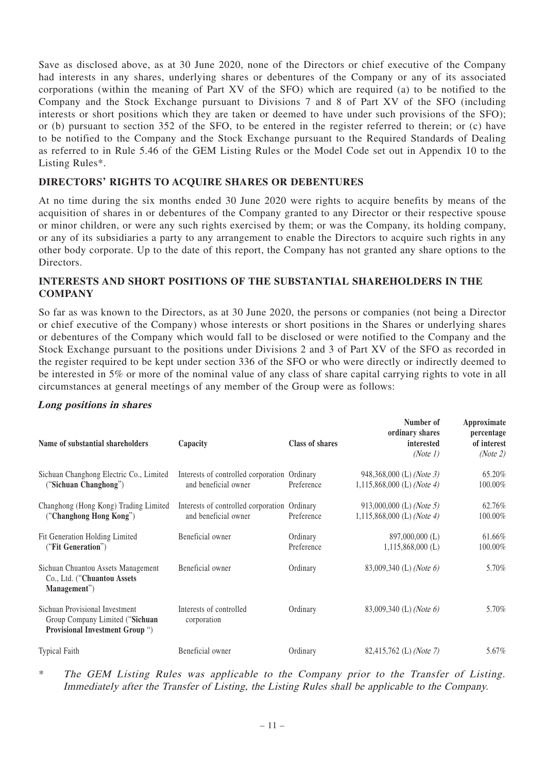Save as disclosed above, as at 30 June 2020, none of the Directors or chief executive of the Company had interests in any shares, underlying shares or debentures of the Company or any of its associated corporations (within the meaning of Part XV of the SFO) which are required (a) to be notified to the Company and the Stock Exchange pursuant to Divisions 7 and 8 of Part XV of the SFO (including interests or short positions which they are taken or deemed to have under such provisions of the SFO); or (b) pursuant to section 352 of the SFO, to be entered in the register referred to therein; or (c) have to be notified to the Company and the Stock Exchange pursuant to the Required Standards of Dealing as referred to in Rule 5.46 of the GEM Listing Rules or the Model Code set out in Appendix 10 to the Listing Rules\*.

#### **DIRECTORS' RIGHTS TO ACQUIRE SHARES OR DEBENTURES**

At no time during the six months ended 30 June 2020 were rights to acquire benefits by means of the acquisition of shares in or debentures of the Company granted to any Director or their respective spouse or minor children, or were any such rights exercised by them; or was the Company, its holding company, or any of its subsidiaries a party to any arrangement to enable the Directors to acquire such rights in any other body corporate. Up to the date of this report, the Company has not granted any share options to the Directors.

#### **INTERESTS AND SHORT POSITIONS OF THE SUBSTANTIAL SHAREHOLDERS IN THE COMPANY**

So far as was known to the Directors, as at 30 June 2020, the persons or companies (not being a Director or chief executive of the Company) whose interests or short positions in the Shares or underlying shares or debentures of the Company which would fall to be disclosed or were notified to the Company and the Stock Exchange pursuant to the positions under Divisions 2 and 3 of Part XV of the SFO as recorded in the register required to be kept under section 336 of the SFO or who were directly or indirectly deemed to be interested in 5% or more of the nominal value of any class of share capital carrying rights to vote in all circumstances at general meetings of any member of the Group were as follows:

#### **Long positions in shares**

| Name of substantial shareholders                                                                     | Capacity                                                             | Class of shares        | Number of<br>ordinary shares<br>interested<br>(Note 1) | Approximate<br>percentage<br>of interest<br>(Note 2) |
|------------------------------------------------------------------------------------------------------|----------------------------------------------------------------------|------------------------|--------------------------------------------------------|------------------------------------------------------|
| Sichuan Changhong Electric Co., Limited<br>("Sichuan Changhong")                                     | Interests of controlled corporation Ordinary<br>and beneficial owner | Preference             | 948,368,000 (L) (Note 3)<br>1,115,868,000 (L) (Note 4) | 65.20%<br>100.00%                                    |
| Changhong (Hong Kong) Trading Limited<br>("Changhong Hong Kong")                                     | Interests of controlled corporation Ordinary<br>and beneficial owner | Preference             | 913,000,000 (L) (Note 5)<br>1,115,868,000 (L) (Note 4) | 62.76%<br>100.00%                                    |
| Fit Generation Holding Limited<br>("Fit Generation")                                                 | Beneficial owner                                                     | Ordinary<br>Preference | 897,000,000 (L)<br>$1,115,868,000$ (L)                 | 61.66%<br>100.00%                                    |
| Sichuan Chuantou Assets Management<br>Co., Ltd. ("Chuantou Assets<br>Management")                    | Beneficial owner                                                     | Ordinary               | 83,009,340 (L) (Note 6)                                | 5.70%                                                |
| Sichuan Provisional Investment<br>Group Company Limited ("Sichuan<br>Provisional Investment Group ") | Interests of controlled<br>corporation                               | Ordinary               | 83,009,340 (L) (Note 6)                                | 5.70%                                                |
| <b>Typical Faith</b>                                                                                 | Beneficial owner                                                     | Ordinary               | 82,415,762 (L) (Note 7)                                | 5.67%                                                |

The GEM Listing Rules was applicable to the Company prior to the Transfer of Listing. Immediately after the Transfer of Listing, the Listing Rules shall be applicable to the Company.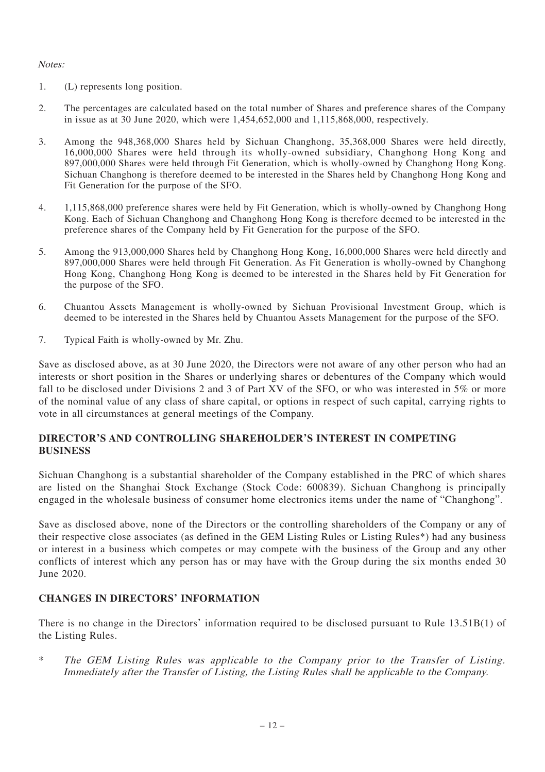#### Notes:

- 1. (L) represents long position.
- 2. The percentages are calculated based on the total number of Shares and preference shares of the Company in issue as at 30 June 2020, which were 1,454,652,000 and 1,115,868,000, respectively.
- 3. Among the 948,368,000 Shares held by Sichuan Changhong, 35,368,000 Shares were held directly, 16,000,000 Shares were held through its wholly-owned subsidiary, Changhong Hong Kong and 897,000,000 Shares were held through Fit Generation, which is wholly-owned by Changhong Hong Kong. Sichuan Changhong is therefore deemed to be interested in the Shares held by Changhong Hong Kong and Fit Generation for the purpose of the SFO.
- 4. 1,115,868,000 preference shares were held by Fit Generation, which is wholly-owned by Changhong Hong Kong. Each of Sichuan Changhong and Changhong Hong Kong is therefore deemed to be interested in the preference shares of the Company held by Fit Generation for the purpose of the SFO.
- 5. Among the 913,000,000 Shares held by Changhong Hong Kong, 16,000,000 Shares were held directly and 897,000,000 Shares were held through Fit Generation. As Fit Generation is wholly-owned by Changhong Hong Kong, Changhong Hong Kong is deemed to be interested in the Shares held by Fit Generation for the purpose of the SFO.
- 6. Chuantou Assets Management is wholly-owned by Sichuan Provisional Investment Group, which is deemed to be interested in the Shares held by Chuantou Assets Management for the purpose of the SFO.
- 7. Typical Faith is wholly-owned by Mr. Zhu.

Save as disclosed above, as at 30 June 2020, the Directors were not aware of any other person who had an interests or short position in the Shares or underlying shares or debentures of the Company which would fall to be disclosed under Divisions 2 and 3 of Part XV of the SFO, or who was interested in 5% or more of the nominal value of any class of share capital, or options in respect of such capital, carrying rights to vote in all circumstances at general meetings of the Company.

#### **DIRECTOR'S AND CONTROLLING SHAREHOLDER'S INTEREST IN COMPETING BUSINESS**

Sichuan Changhong is a substantial shareholder of the Company established in the PRC of which shares are listed on the Shanghai Stock Exchange (Stock Code: 600839). Sichuan Changhong is principally engaged in the wholesale business of consumer home electronics items under the name of "Changhong".

Save as disclosed above, none of the Directors or the controlling shareholders of the Company or any of their respective close associates (as defined in the GEM Listing Rules or Listing Rules\*) had any business or interest in a business which competes or may compete with the business of the Group and any other conflicts of interest which any person has or may have with the Group during the six months ended 30 June 2020.

# **CHANGES IN DIRECTORS' INFORMATION**

There is no change in the Directors' information required to be disclosed pursuant to Rule 13.51B(1) of the Listing Rules.

The GEM Listing Rules was applicable to the Company prior to the Transfer of Listing. Immediately after the Transfer of Listing, the Listing Rules shall be applicable to the Company.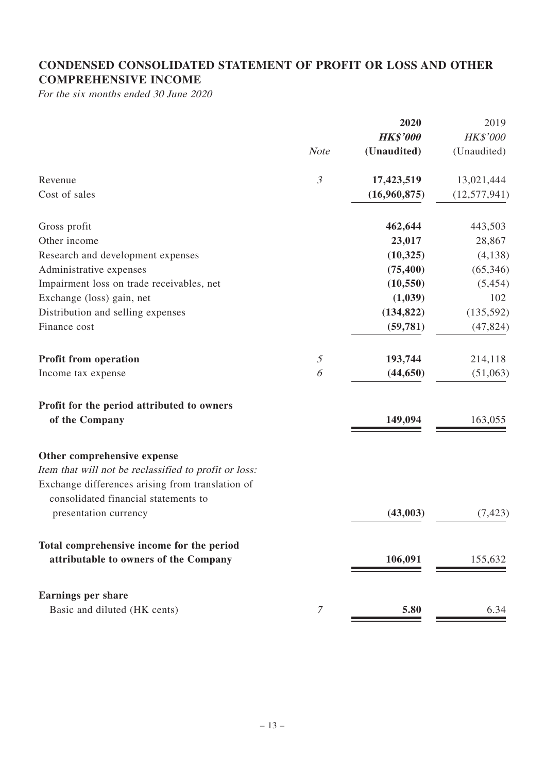# **CONDENSED CONSOLIDATED STATEMENT OF PROFIT OR LOSS AND OTHER COMPREHENSIVE INCOME**

For the six months ended 30 June 2020

|                                                       |                | 2020            | 2019            |
|-------------------------------------------------------|----------------|-----------------|-----------------|
|                                                       |                | <b>HK\$'000</b> | <b>HK\$'000</b> |
|                                                       | <b>Note</b>    | (Unaudited)     | (Unaudited)     |
| Revenue                                               | $\mathfrak{Z}$ | 17,423,519      | 13,021,444      |
| Cost of sales                                         |                | (16,960,875)    | (12, 577, 941)  |
| Gross profit                                          |                | 462,644         | 443,503         |
| Other income                                          |                | 23,017          | 28,867          |
| Research and development expenses                     |                | (10, 325)       | (4, 138)        |
| Administrative expenses                               |                | (75, 400)       | (65, 346)       |
| Impairment loss on trade receivables, net             |                | (10, 550)       | (5, 454)        |
| Exchange (loss) gain, net                             |                | (1,039)         | 102             |
| Distribution and selling expenses                     |                | (134, 822)      | (135, 592)      |
| Finance cost                                          |                | (59, 781)       | (47, 824)       |
| Profit from operation                                 | 5              | 193,744         | 214,118         |
| Income tax expense                                    | 6              | (44, 650)       | (51,063)        |
| Profit for the period attributed to owners            |                |                 |                 |
| of the Company                                        |                | 149,094         | 163,055         |
| Other comprehensive expense                           |                |                 |                 |
| Item that will not be reclassified to profit or loss: |                |                 |                 |
| Exchange differences arising from translation of      |                |                 |                 |
| consolidated financial statements to                  |                |                 |                 |
| presentation currency                                 |                | (43,003)        | (7, 423)        |
| Total comprehensive income for the period             |                |                 |                 |
| attributable to owners of the Company                 |                | 106,091         | 155,632         |
| <b>Earnings per share</b>                             |                |                 |                 |
| Basic and diluted (HK cents)                          | $\overline{7}$ | 5.80            | 6.34            |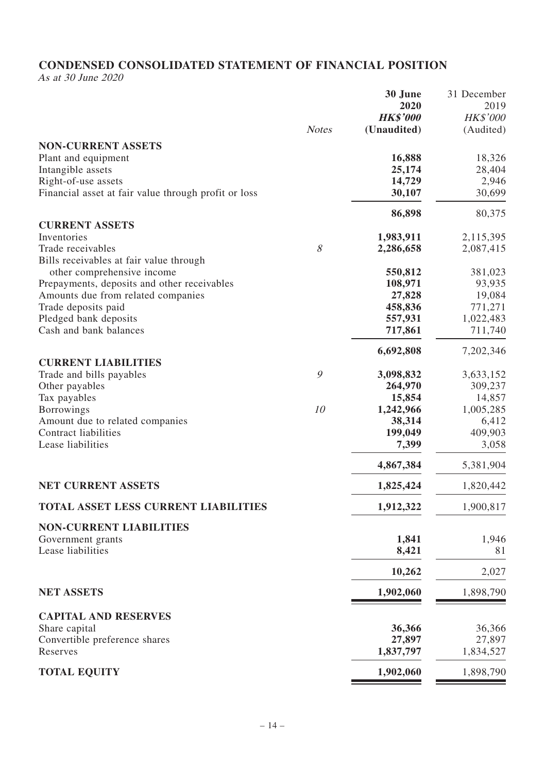# **CONDENSED CONSOLIDATED STATEMENT OF FINANCIAL POSITION**

As at 30 June 2020

|                                                      |              | 30 June         | 31 December     |
|------------------------------------------------------|--------------|-----------------|-----------------|
|                                                      |              | 2020            | 2019            |
|                                                      |              | <b>HK\$'000</b> | <b>HK\$'000</b> |
|                                                      | <b>Notes</b> | (Unaudited)     | (Audited)       |
| <b>NON-CURRENT ASSETS</b>                            |              |                 |                 |
| Plant and equipment                                  |              | 16,888          | 18,326          |
| Intangible assets                                    |              | 25,174          | 28,404          |
| Right-of-use assets                                  |              | 14,729          | 2,946           |
| Financial asset at fair value through profit or loss |              |                 | 30,699          |
|                                                      |              | 30,107          |                 |
|                                                      |              | 86,898          | 80,375          |
| <b>CURRENT ASSETS</b>                                |              |                 |                 |
| Inventories                                          |              | 1,983,911       | 2,115,395       |
| Trade receivables                                    | 8            | 2,286,658       | 2,087,415       |
| Bills receivables at fair value through              |              |                 |                 |
| other comprehensive income                           |              | 550,812         | 381,023         |
| Prepayments, deposits and other receivables          |              | 108,971         | 93,935          |
| Amounts due from related companies                   |              | 27,828          | 19,084          |
| Trade deposits paid                                  |              | 458,836         | 771,271         |
| Pledged bank deposits                                |              | 557,931         | 1,022,483       |
| Cash and bank balances                               |              | 717,861         | 711,740         |
|                                                      |              | 6,692,808       | 7,202,346       |
| <b>CURRENT LIABILITIES</b>                           |              |                 |                 |
| Trade and bills payables                             | 9            | 3,098,832       | 3,633,152       |
| Other payables                                       |              | 264,970         | 309,237         |
| Tax payables                                         |              | 15,854          | 14,857          |
| Borrowings                                           | 10           | 1,242,966       | 1,005,285       |
| Amount due to related companies                      |              | 38,314          | 6,412           |
| Contract liabilities                                 |              | 199,049         | 409,903         |
| Lease liabilities                                    |              | 7,399           | 3,058           |
|                                                      |              | 4,867,384       | 5,381,904       |
| <b>NET CURRENT ASSETS</b>                            |              | 1,825,424       | 1,820,442       |
|                                                      |              |                 |                 |
| TOTAL ASSET LESS CURRENT LIABILITIES                 |              | 1,912,322       | 1,900,817       |
| <b>NON-CURRENT LIABILITIES</b>                       |              |                 |                 |
| Government grants                                    |              | 1,841           | 1,946           |
| Lease liabilities                                    |              | 8,421           | 81              |
|                                                      |              | 10,262          | 2,027           |
|                                                      |              |                 |                 |
| <b>NET ASSETS</b>                                    |              | 1,902,060       | 1,898,790       |
| <b>CAPITAL AND RESERVES</b>                          |              |                 |                 |
| Share capital                                        |              | 36,366          | 36,366          |
| Convertible preference shares                        |              | 27,897          | 27,897          |
| Reserves                                             |              | 1,837,797       | 1,834,527       |
| <b>TOTAL EQUITY</b>                                  |              | 1,902,060       | 1,898,790       |
|                                                      |              |                 |                 |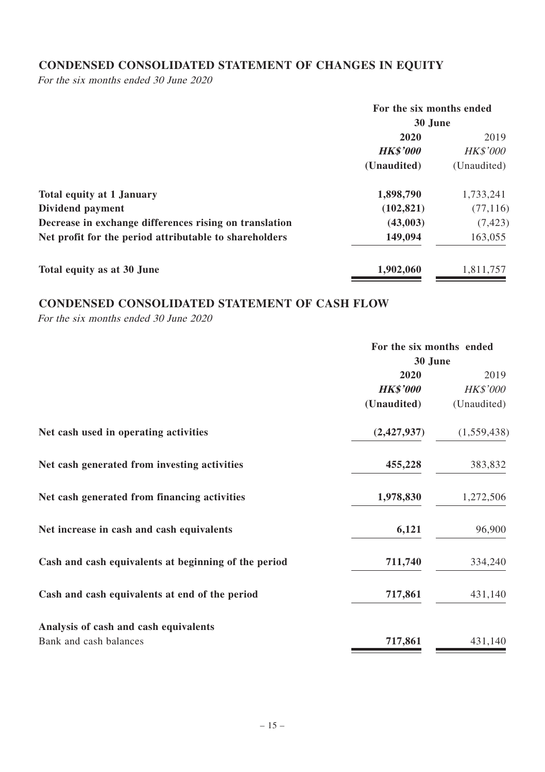# **CONDENSED CONSOLIDATED STATEMENT OF CHANGES IN EQUITY**

For the six months ended 30 June 2020

|                                                        | For the six months ended |                 |
|--------------------------------------------------------|--------------------------|-----------------|
|                                                        | 30 June                  |                 |
|                                                        | 2020                     | 2019            |
|                                                        | <b>HK\$'000</b>          | <b>HK\$'000</b> |
|                                                        | (Unaudited)              | (Unaudited)     |
| <b>Total equity at 1 January</b>                       | 1,898,790                | 1.733.241       |
| Dividend payment                                       | (102, 821)               | (77, 116)       |
| Decrease in exchange differences rising on translation | (43,003)                 | (7, 423)        |
| Net profit for the period attributable to shareholders | 149,094                  | 163,055         |
| Total equity as at 30 June                             | 1,902,060                | 1,811,757       |

# **CONDENSED CONSOLIDATED STATEMENT OF CASH FLOW**

For the six months ended 30 June 2020

|                                                      | For the six months ended |                 |
|------------------------------------------------------|--------------------------|-----------------|
|                                                      | 30 June                  |                 |
|                                                      | 2020                     | 2019            |
|                                                      | <b>HK\$'000</b>          | <b>HK\$'000</b> |
|                                                      | (Unaudited)              | (Unaudited)     |
| Net cash used in operating activities                | (2,427,937)              | (1,559,438)     |
| Net cash generated from investing activities         | 455,228                  | 383,832         |
| Net cash generated from financing activities         | 1,978,830                | 1,272,506       |
| Net increase in cash and cash equivalents            | 6,121                    | 96,900          |
| Cash and cash equivalents at beginning of the period | 711,740                  | 334,240         |
| Cash and cash equivalents at end of the period       | 717,861                  | 431,140         |
| Analysis of cash and cash equivalents                |                          |                 |
| Bank and cash balances                               | 717,861                  | 431,140         |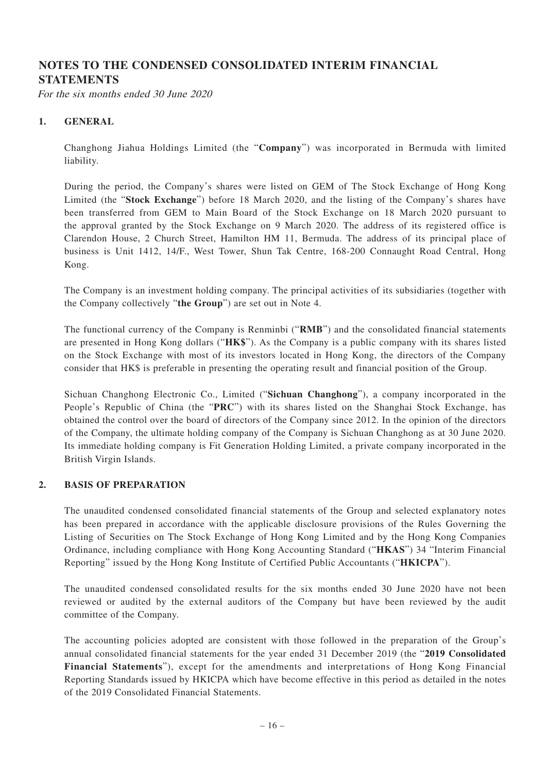# **NOTES TO THE CONDENSED CONSOLIDATED INTERIM FINANCIAL STATEMENTS**

For the six months ended 30 June 2020

#### **1. GENERAL**

Changhong Jiahua Holdings Limited (the "**Company**") was incorporated in Bermuda with limited liability.

During the period, the Company's shares were listed on GEM of The Stock Exchange of Hong Kong Limited (the "**Stock Exchange**") before 18 March 2020, and the listing of the Company's shares have been transferred from GEM to Main Board of the Stock Exchange on 18 March 2020 pursuant to the approval granted by the Stock Exchange on 9 March 2020. The address of its registered office is Clarendon House, 2 Church Street, Hamilton HM 11, Bermuda. The address of its principal place of business is Unit 1412, 14/F., West Tower, Shun Tak Centre, 168-200 Connaught Road Central, Hong Kong.

The Company is an investment holding company. The principal activities of its subsidiaries (together with the Company collectively "**the Group**") are set out in Note 4.

The functional currency of the Company is Renminbi ("**RMB**") and the consolidated financial statements are presented in Hong Kong dollars ("**HK\$**"). As the Company is a public company with its shares listed on the Stock Exchange with most of its investors located in Hong Kong, the directors of the Company consider that HK\$ is preferable in presenting the operating result and financial position of the Group.

Sichuan Changhong Electronic Co., Limited ("**Sichuan Changhong**"), a company incorporated in the People's Republic of China (the "**PRC**") with its shares listed on the Shanghai Stock Exchange, has obtained the control over the board of directors of the Company since 2012. In the opinion of the directors of the Company, the ultimate holding company of the Company is Sichuan Changhong as at 30 June 2020. Its immediate holding company is Fit Generation Holding Limited, a private company incorporated in the British Virgin Islands.

#### **2. BASIS OF PREPARATION**

The unaudited condensed consolidated financial statements of the Group and selected explanatory notes has been prepared in accordance with the applicable disclosure provisions of the Rules Governing the Listing of Securities on The Stock Exchange of Hong Kong Limited and by the Hong Kong Companies Ordinance, including compliance with Hong Kong Accounting Standard ("**HKAS**") 34 "Interim Financial Reporting" issued by the Hong Kong Institute of Certified Public Accountants ("**HKICPA**").

The unaudited condensed consolidated results for the six months ended 30 June 2020 have not been reviewed or audited by the external auditors of the Company but have been reviewed by the audit committee of the Company.

The accounting policies adopted are consistent with those followed in the preparation of the Group's annual consolidated financial statements for the year ended 31 December 2019 (the "**2019 Consolidated Financial Statements**"), except for the amendments and interpretations of Hong Kong Financial Reporting Standards issued by HKICPA which have become effective in this period as detailed in the notes of the 2019 Consolidated Financial Statements.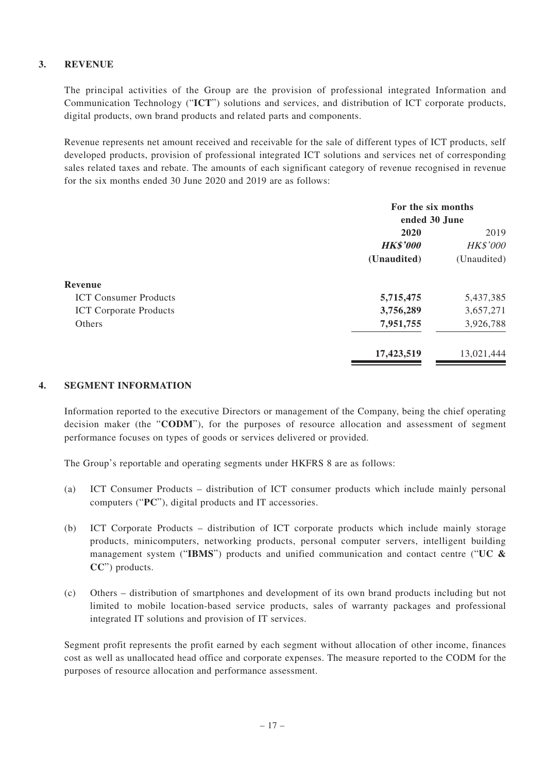# **3. REVENUE**

The principal activities of the Group are the provision of professional integrated Information and Communication Technology ("**ICT**") solutions and services, and distribution of ICT corporate products, digital products, own brand products and related parts and components.

Revenue represents net amount received and receivable for the sale of different types of ICT products, self developed products, provision of professional integrated ICT solutions and services net of corresponding sales related taxes and rebate. The amounts of each significant category of revenue recognised in revenue for the six months ended 30 June 2020 and 2019 are as follows:

| For the six months |                 |  |
|--------------------|-----------------|--|
| ended 30 June      |                 |  |
| 2020               | 2019            |  |
| <b>HK\$'000</b>    | <b>HK\$'000</b> |  |
| (Unaudited)        | (Unaudited)     |  |
|                    |                 |  |
| 5,715,475          | 5,437,385       |  |
| 3,756,289          | 3,657,271       |  |
| 7,951,755          | 3,926,788       |  |
| 17,423,519         | 13,021,444      |  |
|                    |                 |  |

#### **4. SEGMENT INFORMATION**

Information reported to the executive Directors or management of the Company, being the chief operating decision maker (the "**CODM**"), for the purposes of resource allocation and assessment of segment performance focuses on types of goods or services delivered or provided.

The Group's reportable and operating segments under HKFRS 8 are as follows:

- (a) ICT Consumer Products distribution of ICT consumer products which include mainly personal computers ("**PC**"), digital products and IT accessories.
- (b) ICT Corporate Products distribution of ICT corporate products which include mainly storage products, minicomputers, networking products, personal computer servers, intelligent building management system ("**IBMS**") products and unified communication and contact centre ("**UC & CC**") products.
- (c) Others distribution of smartphones and development of its own brand products including but not limited to mobile location-based service products, sales of warranty packages and professional integrated IT solutions and provision of IT services.

Segment profit represents the profit earned by each segment without allocation of other income, finances cost as well as unallocated head office and corporate expenses. The measure reported to the CODM for the purposes of resource allocation and performance assessment.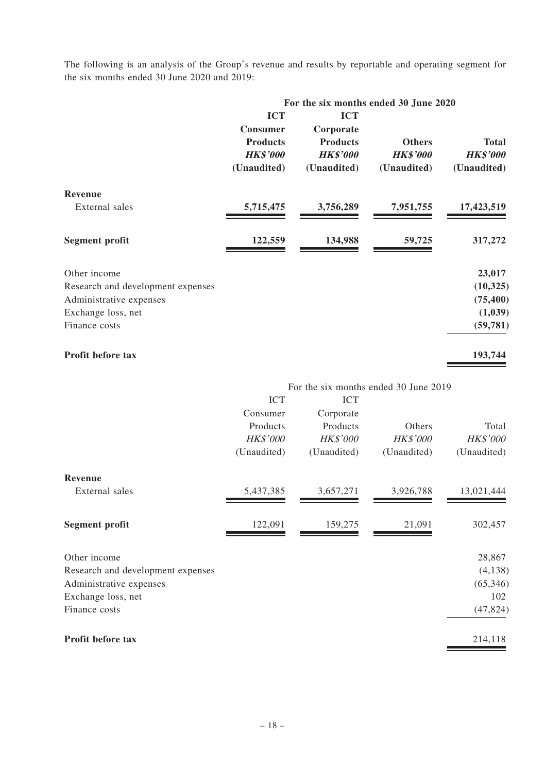The following is an analysis of the Group's revenue and results by reportable and operating segment for the six months ended 30 June 2020 and 2019:

|                                   | For the six months ended 30 June 2020                                       |                                                                              |                                          |                                         |
|-----------------------------------|-----------------------------------------------------------------------------|------------------------------------------------------------------------------|------------------------------------------|-----------------------------------------|
|                                   | <b>ICT</b><br>Consumer<br><b>Products</b><br><b>HK\$'000</b><br>(Unaudited) | <b>ICT</b><br>Corporate<br><b>Products</b><br><b>HK\$'000</b><br>(Unaudited) | Others<br><b>HK\$'000</b><br>(Unaudited) | Total<br><b>HK\$'000</b><br>(Unaudited) |
| Revenue                           |                                                                             |                                                                              |                                          |                                         |
| External sales                    | 5,715,475                                                                   | 3,756,289                                                                    | 7,951,755                                | 17,423,519                              |
| Segment profit                    | 122,559                                                                     | 134,988                                                                      | 59,725                                   | 317,272                                 |
| Other income                      |                                                                             |                                                                              |                                          | 23,017                                  |
| Research and development expenses |                                                                             |                                                                              |                                          | (10, 325)                               |
| Administrative expenses           |                                                                             |                                                                              |                                          | (75, 400)                               |
| Exchange loss, net                |                                                                             |                                                                              |                                          | (1,039)                                 |
| Finance costs                     |                                                                             |                                                                              |                                          | (59, 781)                               |
| Profit before tax                 |                                                                             |                                                                              |                                          | 193,744                                 |
|                                   |                                                                             | For the six months ended 30 June 2019                                        |                                          |                                         |
|                                   | <b>ICT</b>                                                                  | <b>ICT</b>                                                                   |                                          |                                         |
|                                   | Consumer<br>Products                                                        | Corporate<br>Products                                                        | Others                                   | Total                                   |
|                                   | <b>HK\$'000</b>                                                             | <b>HK\$'000</b>                                                              | HK\$'000                                 | <b>HK\$'000</b>                         |
|                                   | (Unaudited)                                                                 | (Unaudited)                                                                  | (Unaudited)                              | (Unaudited)                             |
| Revenue                           |                                                                             |                                                                              |                                          |                                         |
| External sales                    | 5,437,385                                                                   | 3,657,271                                                                    | 3,926,788                                | 13,021,444                              |
| Segment profit                    | 122,091                                                                     | 159,275                                                                      | 21,091                                   | 302,457                                 |
| Other income                      |                                                                             |                                                                              |                                          | 28,867                                  |
| Research and development expenses |                                                                             |                                                                              |                                          | (4, 138)                                |
| Administrative expenses           |                                                                             |                                                                              |                                          | (65, 346)                               |
| Exchange loss, net                |                                                                             |                                                                              |                                          | 102                                     |
| Finance costs                     |                                                                             |                                                                              |                                          | (47,824)                                |
| Profit before tax                 |                                                                             |                                                                              |                                          | 214,118                                 |
|                                   |                                                                             |                                                                              |                                          |                                         |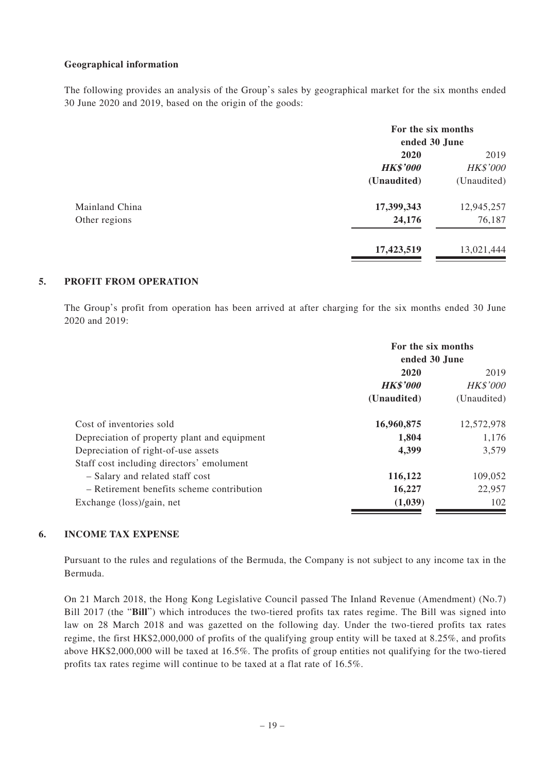#### **Geographical information**

The following provides an analysis of the Group's sales by geographical market for the six months ended 30 June 2020 and 2019, based on the origin of the goods:

|                |                         | For the six months<br>ended 30 June |  |
|----------------|-------------------------|-------------------------------------|--|
|                | 2020<br><b>HK\$'000</b> | 2019<br><b>HK\$'000</b>             |  |
|                | (Unaudited)             | (Unaudited)                         |  |
| Mainland China | 17,399,343              | 12,945,257                          |  |
| Other regions  | 24,176                  | 76,187                              |  |
|                | 17,423,519              | 13,021,444                          |  |

#### **5. PROFIT FROM OPERATION**

The Group's profit from operation has been arrived at after charging for the six months ended 30 June 2020 and 2019:

|                                              |                 | For the six months<br>ended 30 June |  |
|----------------------------------------------|-----------------|-------------------------------------|--|
|                                              | 2020            | 2019                                |  |
|                                              | <b>HK\$'000</b> | <b>HK\$'000</b>                     |  |
|                                              | (Unaudited)     | (Unaudited)                         |  |
| Cost of inventories sold                     | 16,960,875      | 12,572,978                          |  |
| Depreciation of property plant and equipment | 1,804           | 1,176                               |  |
| Depreciation of right-of-use assets          | 4,399           | 3.579                               |  |
| Staff cost including directors' emolument    |                 |                                     |  |
| - Salary and related staff cost              | 116,122         | 109,052                             |  |
| - Retirement benefits scheme contribution    | 16,227          | 22,957                              |  |
| Exchange (loss)/gain, net                    | (1,039)         | 102                                 |  |

#### **6. INCOME TAX EXPENSE**

Pursuant to the rules and regulations of the Bermuda, the Company is not subject to any income tax in the Bermuda.

On 21 March 2018, the Hong Kong Legislative Council passed The Inland Revenue (Amendment) (No.7) Bill 2017 (the "**Bill**") which introduces the two-tiered profits tax rates regime. The Bill was signed into law on 28 March 2018 and was gazetted on the following day. Under the two-tiered profits tax rates regime, the first HK\$2,000,000 of profits of the qualifying group entity will be taxed at 8.25%, and profits above HK\$2,000,000 will be taxed at 16.5%. The profits of group entities not qualifying for the two-tiered profits tax rates regime will continue to be taxed at a flat rate of 16.5%.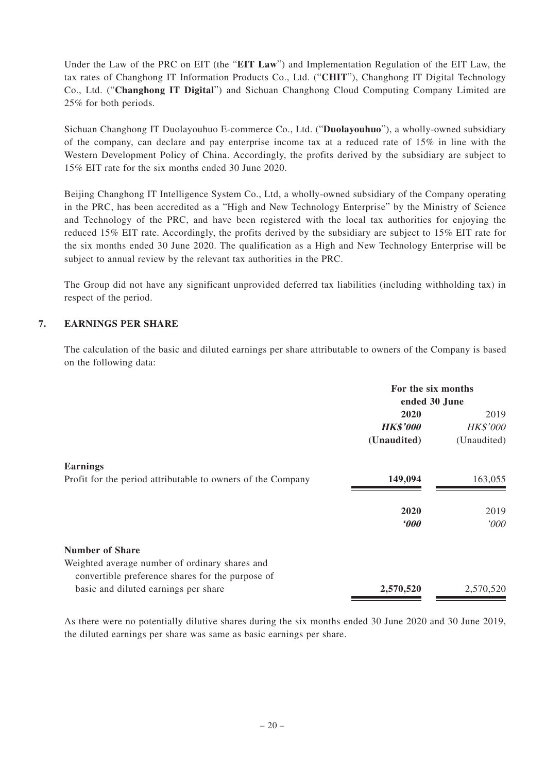Under the Law of the PRC on EIT (the "**EIT Law**") and Implementation Regulation of the EIT Law, the tax rates of Changhong IT Information Products Co., Ltd. ("**CHIT**"), Changhong IT Digital Technology Co., Ltd. ("**Changhong IT Digital**") and Sichuan Changhong Cloud Computing Company Limited are 25% for both periods.

Sichuan Changhong IT Duolayouhuo E-commerce Co., Ltd. ("**Duolayouhuo**"), a wholly-owned subsidiary of the company, can declare and pay enterprise income tax at a reduced rate of 15% in line with the Western Development Policy of China. Accordingly, the profits derived by the subsidiary are subject to 15% EIT rate for the six months ended 30 June 2020.

Beijing Changhong IT Intelligence System Co., Ltd, a wholly-owned subsidiary of the Company operating in the PRC, has been accredited as a "High and New Technology Enterprise" by the Ministry of Science and Technology of the PRC, and have been registered with the local tax authorities for enjoying the reduced 15% EIT rate. Accordingly, the profits derived by the subsidiary are subject to 15% EIT rate for the six months ended 30 June 2020. The qualification as a High and New Technology Enterprise will be subject to annual review by the relevant tax authorities in the PRC.

The Group did not have any significant unprovided deferred tax liabilities (including withholding tax) in respect of the period.

#### **7. EARNINGS PER SHARE**

The calculation of the basic and diluted earnings per share attributable to owners of the Company is based on the following data:

|                                                             | For the six months<br>ended 30 June |                 |
|-------------------------------------------------------------|-------------------------------------|-----------------|
|                                                             | 2020                                | 2019            |
|                                                             | <b>HK\$'000</b>                     | <b>HK\$'000</b> |
|                                                             | (Unaudited)                         | (Unaudited)     |
| <b>Earnings</b>                                             |                                     |                 |
| Profit for the period attributable to owners of the Company | 149,094                             | 163,055         |
|                                                             | 2020                                | 2019            |
|                                                             | $600^\circ$                         | $000^{\circ}$   |
| <b>Number of Share</b>                                      |                                     |                 |
| Weighted average number of ordinary shares and              |                                     |                 |
| convertible preference shares for the purpose of            |                                     |                 |
| basic and diluted earnings per share                        | 2,570,520                           | 2,570,520       |

As there were no potentially dilutive shares during the six months ended 30 June 2020 and 30 June 2019, the diluted earnings per share was same as basic earnings per share.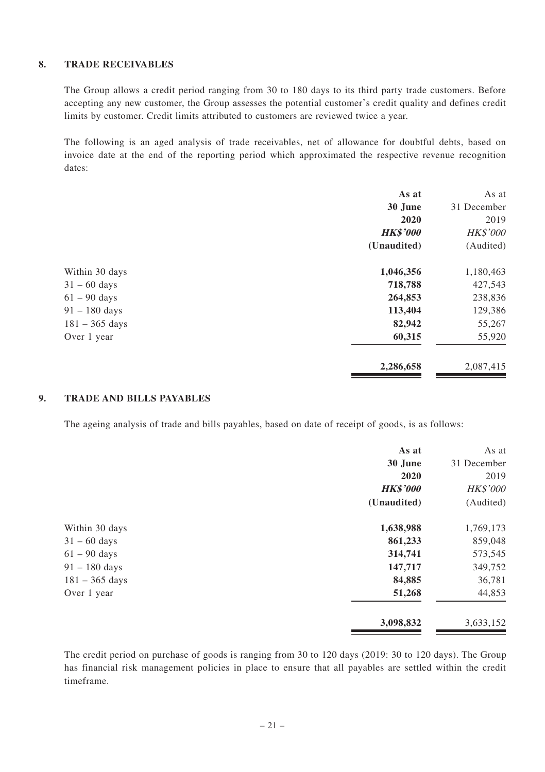#### **8. TRADE RECEIVABLES**

The Group allows a credit period ranging from 30 to 180 days to its third party trade customers. Before accepting any new customer, the Group assesses the potential customer's credit quality and defines credit limits by customer. Credit limits attributed to customers are reviewed twice a year.

The following is an aged analysis of trade receivables, net of allowance for doubtful debts, based on invoice date at the end of the reporting period which approximated the respective revenue recognition dates:

|                  | As at           | As at           |
|------------------|-----------------|-----------------|
|                  | 30 June         | 31 December     |
|                  | 2020            | 2019            |
|                  | <b>HK\$'000</b> | <b>HK\$'000</b> |
|                  | (Unaudited)     | (Audited)       |
| Within 30 days   | 1,046,356       | 1,180,463       |
| $31 - 60$ days   | 718,788         | 427,543         |
| $61 - 90$ days   | 264,853         | 238,836         |
| $91 - 180$ days  | 113,404         | 129,386         |
| $181 - 365$ days | 82,942          | 55,267          |
| Over 1 year      | 60,315          | 55,920          |
|                  | 2,286,658       | 2,087,415       |

#### **9. TRADE AND BILLS PAYABLES**

The ageing analysis of trade and bills payables, based on date of receipt of goods, is as follows:

|                  | As at           | As at           |
|------------------|-----------------|-----------------|
|                  | 30 June         | 31 December     |
|                  | 2020            | 2019            |
|                  | <b>HK\$'000</b> | <b>HK\$'000</b> |
|                  | (Unaudited)     | (Audited)       |
| Within 30 days   | 1,638,988       | 1,769,173       |
| $31 - 60$ days   | 861,233         | 859,048         |
| $61 - 90$ days   | 314,741         | 573,545         |
| $91 - 180$ days  | 147,717         | 349,752         |
| $181 - 365$ days | 84,885          | 36,781          |
| Over 1 year      | 51,268          | 44,853          |
|                  | 3,098,832       | 3,633,152       |

The credit period on purchase of goods is ranging from 30 to 120 days (2019: 30 to 120 days). The Group has financial risk management policies in place to ensure that all payables are settled within the credit timeframe.